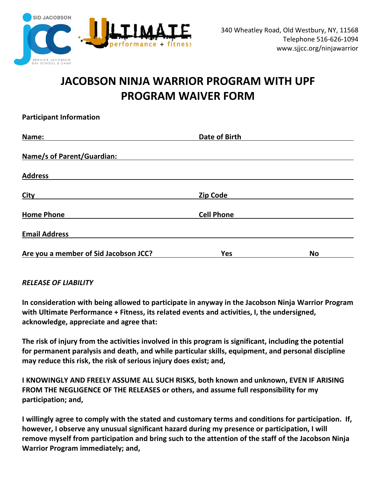

## **JACOBSON NINJA WARRIOR PROGRAM WITH UPF PROGRAM WAIVER FORM**

| <b>Participant Information</b>        |                      |           |
|---------------------------------------|----------------------|-----------|
| Name:                                 | <b>Date of Birth</b> |           |
| <b>Name/s of Parent/Guardian:</b>     |                      |           |
| <b>Address</b>                        |                      |           |
| <b>City</b>                           | <b>Zip Code</b>      |           |
| <b>Home Phone</b>                     | <b>Cell Phone</b>    |           |
| <b>Email Address</b>                  |                      |           |
| Are you a member of Sid Jacobson JCC? | <b>Yes</b>           | <b>No</b> |

## *RELEASE OF LIABILITY*

**In consideration with being allowed to participate in anyway in the Jacobson Ninja Warrior Program with Ultimate Performance + Fitness, its related events and activities, I, the undersigned, acknowledge, appreciate and agree that:**

**The risk of injury from the activities involved in this program is significant, including the potential for permanent paralysis and death, and while particular skills, equipment, and personal discipline may reduce this risk, the risk of serious injury does exist; and,**

**I KNOWINGLY AND FREELY ASSUME ALL SUCH RISKS, both known and unknown, EVEN IF ARISING FROM THE NEGLIGENCE OF THE RELEASES or others, and assume full responsibility for my participation; and,**

**I willingly agree to comply with the stated and customary terms and conditions for participation. If, however, I observe any unusual significant hazard during my presence or participation, I will remove myself from participation and bring such to the attention of the staff of the Jacobson Ninja Warrior Program immediately; and,**